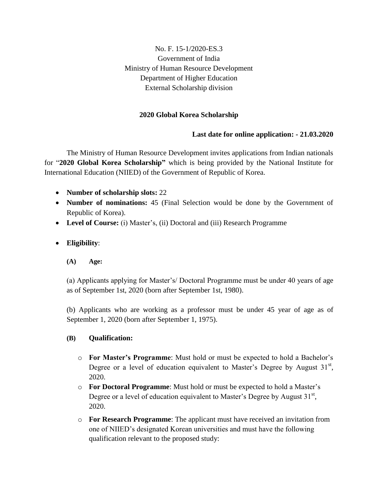### No. F. 15-1/2020-ES.3 Government of India Ministry of Human Resource Development Department of Higher Education External Scholarship division

### **2020 Global Korea Scholarship**

### **Last date for online application: - 21.03.2020**

The Ministry of Human Resource Development invites applications from Indian nationals for "**2020 Global Korea Scholarship"** which is being provided by the National Institute for International Education (NIIED) of the Government of Republic of Korea.

- **Number of scholarship slots:** 22
- **Number of nominations:** 45 (Final Selection would be done by the Government of Republic of Korea).
- **Level of Course:** (i) Master's, (ii) Doctoral and (iii) Research Programme

### **Eligibility**:

**(A) Age:**

(a) Applicants applying for Master's/ Doctoral Programme must be under 40 years of age as of September 1st, 2020 (born after September 1st, 1980).

(b) Applicants who are working as a professor must be under 45 year of age as of September 1, 2020 (born after September 1, 1975).

#### **(B) Qualification:**

- o **For Master's Programme**: Must hold or must be expected to hold a Bachelor's Degree or a level of education equivalent to Master's Degree by August  $31<sup>st</sup>$ , 2020.
- o **For Doctoral Programme**: Must hold or must be expected to hold a Master's Degree or a level of education equivalent to Master's Degree by August  $31^{st}$ , 2020.
- o **For Research Programme**: The applicant must have received an invitation from one of NIIED's designated Korean universities and must have the following qualification relevant to the proposed study: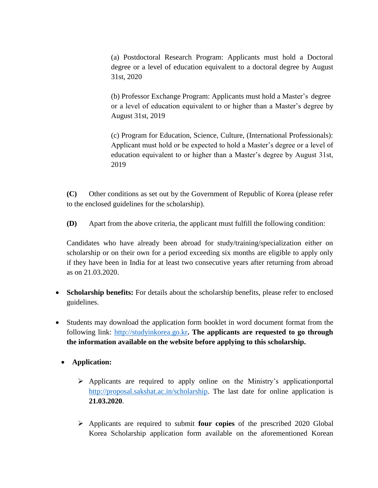(a) Postdoctoral Research Program: Applicants must hold a Doctoral degree or a level of education equivalent to a doctoral degree by August 31st, 2020

(b) Professor Exchange Program: Applicants must hold a Master's degree or a level of education equivalent to or higher than a Master's degree by August 31st, 2019

(c) Program for Education, Science, Culture, (International Professionals): Applicant must hold or be expected to hold a Master's degree or a level of education equivalent to or higher than a Master's degree by August 31st, 2019

**(C)** Other conditions as set out by the Government of Republic of Korea (please refer to the enclosed guidelines for the scholarship).

**(D)** Apart from the above criteria, the applicant must fulfill the following condition:

Candidates who have already been abroad for study/training/specialization either on scholarship or on their own for a period exceeding six months are eligible to apply only if they have been in India for at least two consecutive years after returning from abroad as on 21.03.2020.

- **Scholarship benefits:** For details about the scholarship benefits, please refer to enclosed guidelines.
- Students may download the application form booklet in word document format from the following link: [http://studyinkorea.go.kr](http://studyinkorea.go.kr/en/sub/gks/selectBoardArticle.do)**. The applicants are requested to go through the information available on the website before applying to this scholarship.**
	- **Application:** 
		- $\triangleright$  Applicants are required to apply online on the Ministry's applicationportal [http://proposal.sakshat.ac.in/scholarship.](http://proposal.sakshat.ac.in/scholarship) The last date for online application is **21.03.2020**.
		- Applicants are required to submit **four copies** of the prescribed 2020 Global Korea Scholarship application form available on the aforementioned Korean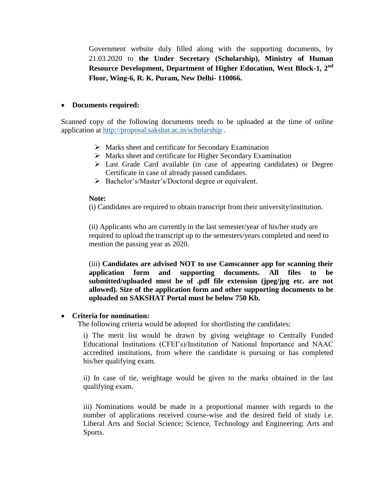Government website duly filled along with the supporting documents, by 21.03.2020 to **the Under Secretary (Scholarship), Ministry of Human Resource Development, Department of Higher Education, West Block-1, 2nd Floor, Wing-6, R. K. Puram, New Delhi- 110066.**

#### **Documents required:**

Scanned copy of the following documents needs to be uploaded at the time of online application at<http://proposal.sakshat.ac.in/scholarship> .

- $\triangleright$  Marks sheet and certificate for Secondary Examination
- $\triangleright$  Marks sheet and certificate for Higher Secondary Examination
- Last Grade Card available (in case of appearing candidates) or Degree Certificate in case of already passed candidates.
- Bachelor's/Master's/Doctoral degree or equivalent.

#### **Note:**

(i) Candidates are required to obtain transcript from their university/institution.

(ii) Applicants who are currently in the last semester/year of his/her study are required to upload the transcript up to the semesters/years completed and need to mention the passing year as 2020.

(iii) **Candidates are advised NOT to use Camscanner app for scanning their application form and supporting documents. All files to be submitted/uploaded must be of .pdf file extension (jpeg/jpg etc. are not allowed). Size of the application form and other supporting documents to be uploaded on SAKSHAT Portal must be below 750 Kb.** 

#### **Criteria for nomination:**

The following criteria would be adopted for shortlisting the candidates:

i) The merit list would be drawn by giving weightage to Centrally Funded Educational Institutions (CFEI's)/Institution of National Importance and NAAC accredited institutions, from where the candidate is pursuing or has completed his/her qualifying exam.

ii) In case of tie, weightage would be given to the marks obtained in the last qualifying exam.

iii) Nominations would be made in a proportional manner with regards to the number of applications received course-wise and the desired field of study i.e. Liberal Arts and Social Science; Science, Technology and Engineering; Arts and Sports.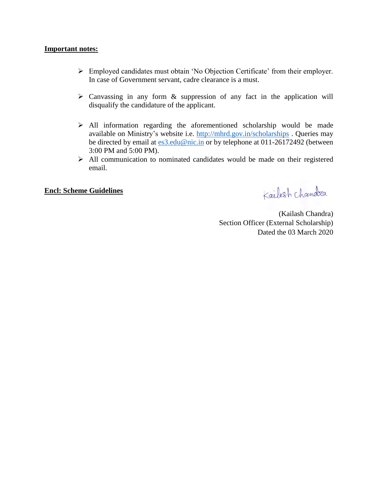#### **Important notes:**

- Employed candidates must obtain 'No Objection Certificate' from their employer. In case of Government servant, cadre clearance is a must.
- $\triangleright$  Canvassing in any form & suppression of any fact in the application will disqualify the candidature of the applicant.
- $\triangleright$  All information regarding the aforementioned scholarship would be made available on Ministry's website i.e.<http://mhrd.gov.in/scholarships> . Queries may be directed by email at [es3.edu@nic.in](mailto:es3.edu@nic.in) or by telephone at 011-26172492 (between 3:00 PM and 5:00 PM).
- $\triangleright$  All communication to nominated candidates would be made on their registered email.

#### **Encl: Scheme Guidelines**

Kailash chandra

(Kailash Chandra) Section Officer (External Scholarship) Dated the 03 March 2020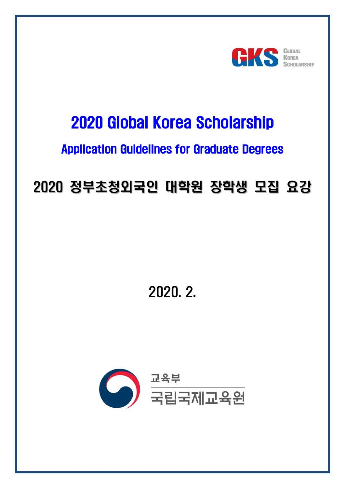

# 2020 Global Korea Scholarship

# Application Guidelines for Graduate Degrees

# 2020 정부초청외국인 대학원 장학생 모집 요강

# 2020. 2.

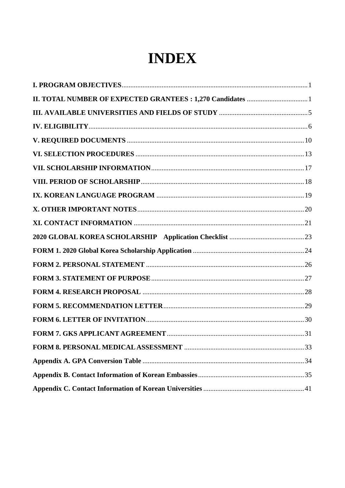# **INDEX**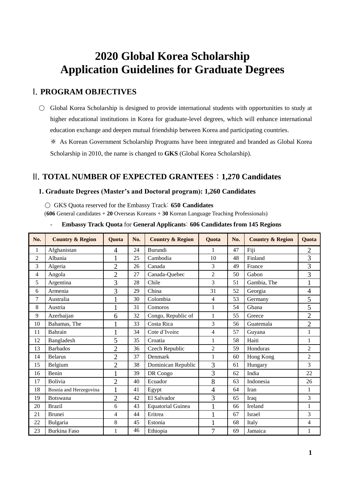# **Global Korea Scholarship Application Guidelines for Graduate Degrees**

# <span id="page-6-0"></span>I. **PROGRAM OBJECTIVES**

○ Global Korea Scholarship is designed to provide international students with opportunities to study at higher educational institutions in Korea for graduate-level degrees, which will enhance international education exchange and deepen mutual friendship between Korea and participating countries. ※ As Korean Government Scholarship Programs have been integrated and branded as Global Korea

Scholarship in 2010, the name is changed to **GKS** (Global Korea Scholarship).

# <span id="page-6-1"></span>II. **TOTAL NUMBER OF EXPECTED GRANTEES** : **1,270 Candidates**

#### **1. Graduate Degrees (Master's and Doctoral program): 1,260 Candidates**

○ GKS Quota reserved for the Embassy Track: **650 Candidates**

(**606** General candidates + **20** Overseas Koreans + **30** Korean Language Teaching Professionals)

| No.            | <b>Country &amp; Region</b> | <b>Ouota</b>   | No. | <b>Country &amp; Region</b> | <b>Ouota</b>   | No. | <b>Country &amp; Region</b> | <b>Quota</b>   |
|----------------|-----------------------------|----------------|-----|-----------------------------|----------------|-----|-----------------------------|----------------|
| 1              | Afghanistan                 | 4              | 24  | Burundi                     | $\mathbf{1}$   | 47  | Fiji                        | $\overline{2}$ |
| $\overline{2}$ | Albania                     | $\mathbf{1}$   | 25  | Cambodia                    | 10             | 48  | Finland                     | 3              |
| 3              | Algeria                     | $\overline{2}$ | 26  | Canada                      | 3              | 49  | France                      | 3              |
| 4              | Angola                      | $\overline{2}$ | 27  | Canada-Quebec               | $\overline{c}$ | 50  | Gabon                       | 3              |
| 5              | Argentina                   | 3              | 28  | Chile                       | 3              | 51  | Gambia, The                 | $\mathbf{1}$   |
| 6              | Armenia                     | 3              | 29  | China                       | 31             | 52  | Georgia                     | $\overline{4}$ |
| 7              | Australia                   | $\mathbf 1$    | 30  | Colombia                    | 4              | 53  | Germany                     | 5              |
| 8              | Austria                     | $\mathbf{1}$   | 31  | Comoros                     | $\mathbf{1}$   | 54  | Ghana                       | 5              |
| 9              | Azerbaijan                  | 6              | 32  | Congo, Republic of          | $\mathbf{1}$   | 55  | Greece                      | $\overline{2}$ |
| 10             | Bahamas, The                |                | 33  | Costa Rica                  | 3              | 56  | Guatemala                   | $\overline{2}$ |
| 11             | <b>Bahrain</b>              | $\mathbf{1}$   | 34  | Cote d'Ivoire               | 4              | 57  | Guyana                      | $\mathbf{1}$   |
| 12             | Bangladesh                  | 5              | 35  | Croatia                     | $\mathbf{1}$   | 58  | Haiti                       | 1              |
| 13             | <b>Barbados</b>             | $\overline{2}$ | 36  | Czech Republic              | $\overline{2}$ | 59  | Honduras                    | $\overline{2}$ |
| 14             | <b>Belarus</b>              | $\overline{2}$ | 37  | Denmark                     | 1              | 60  | Hong Kong                   | $\overline{2}$ |
| 15             | Belgium                     | $\overline{2}$ | 38  | Dominican Republic          | 3              | 61  | Hungary                     | 3              |
| 16             | Benin                       | 1              | 39  | DR Congo                    | 3              | 62  | India                       | 22             |
| 17             | Bolivia                     | $\overline{2}$ | 40  | Ecuador                     | 8              | 63  | Indonesia                   | 26             |
| 18             | Bosnia and Herzegovina      | $\mathbf{1}$   | 41  | Egypt                       | $\overline{4}$ | 64  | Iran                        | $\mathbf{1}$   |
| 19             | <b>Botswana</b>             | $\overline{2}$ | 42  | El Salvador                 | 3              | 65  | Iraq                        | $\overline{3}$ |
| 20             | <b>Brazil</b>               | 6              | 43  | <b>Equatorial Guinea</b>    | $\mathbf{1}$   | 66  | Ireland                     | $\mathbf{1}$   |
| 21             | <b>Brunei</b>               | 4              | 44  | Eritrea                     |                | 67  | Israel                      | 3              |
| 22             | Bulgaria                    | 8              | 45  | Estonia                     |                | 68  | Italy                       | $\overline{4}$ |
| 23             | <b>Burkina Faso</b>         | 1              | 46  | Ethiopia                    | $\overline{7}$ | 69  | Jamaica                     | $\mathbf{1}$   |

- **Embassy Track Quota** for **General Applicants**: **606 Candidates from 145 Regions**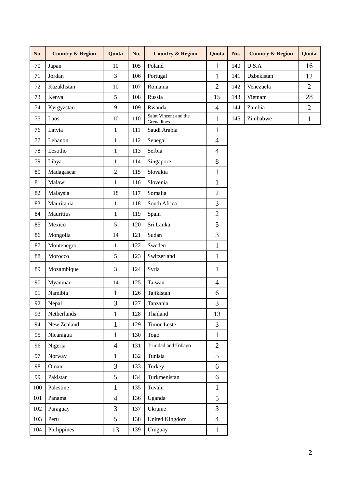| No.    | <b>Country &amp; Region</b> | Quota          | No. | <b>Country &amp; Region</b>         | Quota          | No. | <b>Country &amp; Region</b> | Quota          |  |
|--------|-----------------------------|----------------|-----|-------------------------------------|----------------|-----|-----------------------------|----------------|--|
| $70\,$ | Japan                       | 10             | 105 | Poland                              | $\mathbf{1}$   | 140 | U.S.A                       | 16             |  |
| 71     | Jordan                      | $\overline{3}$ | 106 | Portugal                            | $\mathbf{1}$   | 141 | Uzbekistan                  |                |  |
| 72     | Kazakhstan                  | 10             | 107 | Romania                             | $\overline{2}$ | 142 | Venezuela                   | $\overline{2}$ |  |
| 73     | Kenya                       | 5              | 108 | Russia                              | 15             | 143 | Vietnam                     | 28             |  |
| 74     | Kyrgyzstan                  | 9              | 109 | Rwanda                              | $\overline{4}$ | 144 | Zambia                      | $\overline{2}$ |  |
| 75     | Laos                        | 10             | 110 | Saint Vincent and the<br>Grenadines | $\mathbf{1}$   | 145 | Zimbabwe                    | $\mathbf{1}$   |  |
| 76     | Latvia                      | $\mathbf{1}$   | 111 | Saudi Arabia                        | $\mathbf{1}$   |     |                             |                |  |
| 77     | Lebanon                     | $\mathbf{1}$   | 112 | Senegal                             | $\overline{4}$ |     |                             |                |  |
| 78     | Lesotho                     | $\mathbf{1}$   | 113 | Serbia                              | 4              |     |                             |                |  |
| 79     | Libya                       | $\mathbf{1}$   | 114 | Singapore                           | 8              |     |                             |                |  |
| 80     | Madagascar                  | $\overline{2}$ | 115 | Slovakia                            | $\mathbf{1}$   |     |                             |                |  |
| 81     | Malawi                      | $\mathbf{1}$   | 116 | Slovenia                            | $\mathbf{1}$   |     |                             |                |  |
| 82     | Malaysia                    | 18             | 117 | Somalia                             | $\overline{2}$ |     |                             |                |  |
| 83     | Mauritania                  | $\mathbf{1}$   | 118 | South Africa                        | 3              |     |                             |                |  |
| 84     | Mauritius                   | $\mathbf{1}$   | 119 | Spain                               | $\overline{2}$ |     |                             |                |  |
| 85     | Mexico                      | 5              | 120 | Sri Lanka                           | 5              |     |                             |                |  |
| 86     | Mongolia                    | 14             | 121 | Sudan                               | 3              |     |                             |                |  |
| 87     | Montenegro                  | $\mathbf{1}$   | 122 | Sweden                              | $\mathbf{1}$   |     |                             |                |  |
| 88     | Morocco                     | 5              | 123 | Switzerland                         | $\mathbf{1}$   |     |                             |                |  |
| 89     | Mozambique                  | 3              | 124 | Syria                               | 1              |     |                             |                |  |
| 90     | Myanmar                     | 14             | 125 | Taiwan                              | $\overline{4}$ |     |                             |                |  |
| 91     | Namibia                     | $\mathbf{1}$   | 126 | Tajikistan                          | 6              |     |                             |                |  |
| 92     | Nepal                       | 3              | 127 | Tanzania                            | $\overline{3}$ |     |                             |                |  |
| 93     | Netherlands                 | $\mathbf{1}$   | 128 | Thailand                            | 13             |     |                             |                |  |
| 94     | New Zealand                 | $\mathbf{1}$   | 129 | Timor-Leste                         | 3              |     |                             |                |  |
| 95     | Nicaragua                   | $\mathbf{1}$   | 130 | <b>Togo</b>                         | $\mathbf{1}$   |     |                             |                |  |
| 96     | Nigeria                     | $\overline{4}$ | 131 | Trinidad and Tobago                 | $\overline{2}$ |     |                             |                |  |
| 97     | Norway                      | $\mathbf{1}$   | 132 | Tunisia                             | 5              |     |                             |                |  |
| 98     | Oman                        | 3              | 133 | Turkey                              | 6              |     |                             |                |  |
| 99     | Pakistan                    | 5              | 134 | Turkmenistan                        | 6              |     |                             |                |  |
| 100    | Palestine                   | $\mathbf{1}$   | 135 | Tuvalu                              | $\mathbf{1}$   |     |                             |                |  |
| 101    | Panama                      | $\overline{4}$ | 136 | Uganda                              | 5              |     |                             |                |  |
| 102    | Paraguay                    | $\overline{3}$ | 137 | Ukraine                             | 3              |     |                             |                |  |
| 103    | Peru                        | 5              | 138 | <b>United Kingdom</b>               | $\overline{4}$ |     |                             |                |  |
| 104    | Philippines                 | 13             | 139 | Uruguay                             | $\mathbf{1}$   |     |                             |                |  |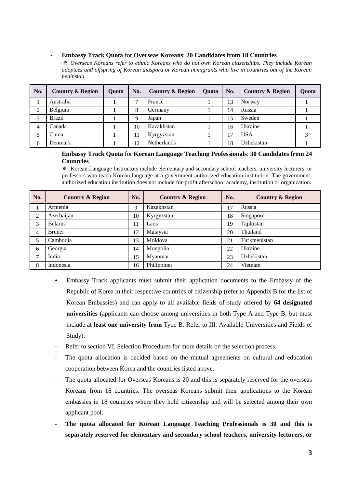- **Embassy Track Quota** for **Overseas Koreans**: **20 Candidates from 18 Countries**

※ *Overseas Koreans refer to ethnic Koreans who do not own Korean citizenships. They include Korean adoptees and offspring of Korean diaspora or Korean immigrants who live in countries out of the Korean peninsula.*

| No. | <b>Country &amp; Region</b> | Ouota | No. | <b>Country &amp; Region</b> | <b>Ouota</b> | No. | <b>Country &amp; Region</b> | <b>Ouota</b> |
|-----|-----------------------------|-------|-----|-----------------------------|--------------|-----|-----------------------------|--------------|
|     | Australia                   |       | ⇁   | France                      |              | 13  | Norway                      |              |
| 2   | Belgium                     |       | 8   | Germany                     |              | 14  | Russia                      |              |
| 3   | <b>Brazil</b>               |       | Q   | Japan                       |              | 15  | Sweden                      |              |
| 4   | Canada                      |       | 10  | Kazakhstan                  |              | 16  | Ukraine                     |              |
|     | China                       |       | 11  | Kyrgyzstan                  |              | 17  | <b>USA</b>                  |              |
| 6   | Denmark                     |       | 12  | <b>Netherlands</b>          |              | 18  | Uzbekistan                  |              |

#### - **Embassy Track Quota** for **Korean Language Teaching Professionals**: **30 Candidates from 24 Countries**

※ Korean Language Instructors include elementary and secondary school teachers, university lecturers, or professors who teach Korean language at a government-authorized education institution. The governmentauthorized education institution does not include for-profit afterschool academy, institution or organization.

| No. | <b>Country &amp; Region</b> | No.         | <b>Country &amp; Region</b>   | No. | <b>Country &amp; Region</b> |
|-----|-----------------------------|-------------|-------------------------------|-----|-----------------------------|
|     | Armenia                     | $\mathbf Q$ | Kazakhstan                    | 17  | Russia                      |
| 2   | Azerbaijan                  | 10          | 18<br>Singapore<br>Kyrgyzstan |     |                             |
| 3   | <b>Belarus</b>              | 11          | Laos                          | 19  | Tajikistan                  |
| 4   | <b>Brunei</b>               | 12          | Malaysia                      | 20  | Thailand                    |
| 5   | Cambodia                    | 13          | Moldova<br>21                 |     | Turkmenistan                |
| 6   | Georgia                     | 14          | Mongolia                      | 22  | Ukraine                     |
| 7   | India                       | 15          | Myanmar                       | 23  | Uzbekistan                  |
| 8   | Indonesia                   | 16          | Philippines                   | 24  | Vietnam                     |

- Embassy Track applicants must submit their application documents to the Embassy of the Republic of Korea in their respective countries of citizenship (refer to Appendix B for the list of Korean Embassies) and can apply to all available fields of study offered by **64 designated universities** (applicants can choose among universities in both Type A and Type B, but must include at **least one university from** Type B. Refer to III. Available Universities and Fields of Study).
- Refer to section VI. Selection Procedures for more details on the selection process.
- The quota allocation is decided based on the mutual agreements on cultural and education cooperation between Korea and the countries listed above.
- The quota allocated for Overseas Koreans is 20 and this is separately reserved for the overseas Koreans from 18 countries. The overseas Koreans submit their applications to the Korean embassies in 18 countries where they hold citizenship and will be selected among their own applicant pool.
- **The quota allocated for Korean Language Teaching Professionals is 30 and this is separately reserved for elementary and secondary school teachers, university lecturers, or**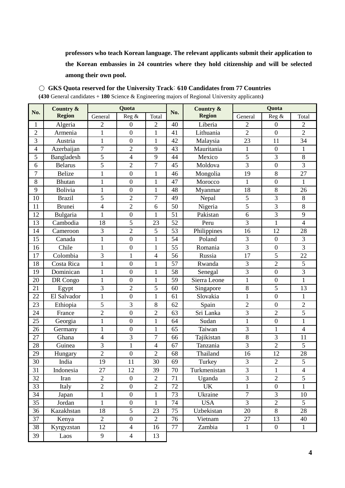**professors who teach Korean language. The relevant applicants submit their application to the Korean embassies in 24 countries where they hold citizenship and will be selected among their own pool.**

○ **GKS Quota reserved for the University Track**: **610 Candidates from 77 Countries**

**(430** General candidates + **180** Science & Engineering majors of Regional University applicants**)**

|                | Country &      | Quota          |                  |                          |     | Country &     | Quota           |                  |                |
|----------------|----------------|----------------|------------------|--------------------------|-----|---------------|-----------------|------------------|----------------|
| No.            | <b>Region</b>  | General        | Reg &            | Total                    | No. | <b>Region</b> | General         | Reg &            | Total          |
| $\mathbf{1}$   | Algeria        | $\overline{2}$ | $\boldsymbol{0}$ | 2                        | 40  | Liberia       | $\overline{2}$  | $\boldsymbol{0}$ | $\overline{c}$ |
| $\overline{2}$ | Armenia        | $\mathbf{1}$   | $\boldsymbol{0}$ | $\mathbf{1}$             | 41  | Lithuania     | $\overline{2}$  | $\boldsymbol{0}$ | $\overline{2}$ |
| 3              | Austria        | $\mathbf{1}$   | $\overline{0}$   | $\mathbf{1}$             | 42  | Malaysia      | 23              | 11               | 34             |
| $\overline{4}$ | Azerbaijan     | $\overline{7}$ | $\overline{2}$   | 9                        | 43  | Mauritania    | $\mathbf{1}$    | $\boldsymbol{0}$ | $\mathbf{1}$   |
| 5              | Bangladesh     | 5              | $\overline{4}$   | 9                        | 44  | Mexico        | 5               | 3                | $\,8\,$        |
| 6              | <b>Belarus</b> | 5              | $\overline{2}$   | $\overline{7}$           | 45  | Moldova       | 3               | $\overline{0}$   | 3              |
| $\overline{7}$ | <b>Belize</b>  | $\mathbf{1}$   | $\boldsymbol{0}$ | $\mathbf{1}$             | 46  | Mongolia      | 19              | $\,8\,$          | 27             |
| 8              | <b>Bhutan</b>  | $\mathbf{1}$   | $\boldsymbol{0}$ | $\mathbf{1}$             | 47  | Morocco       | $\mathbf{1}$    | $\boldsymbol{0}$ | $\mathbf{1}$   |
| 9              | Bolivia        | $\mathbf{1}$   | $\boldsymbol{0}$ | $\mathbf{1}$             | 48  | Myanmar       | 18              | $\,8\,$          | 26             |
| 10             | <b>Brazil</b>  | 5              | $\overline{2}$   | $\overline{7}$           | 49  | Nepal         | 5               | $\overline{3}$   | 8              |
| 11             | <b>Brunei</b>  | $\overline{4}$ | $\overline{2}$   | 6                        | 50  | Nigeria       | 5               | 3                | 8              |
| 12             | Bulgaria       | $\mathbf{1}$   | $\overline{0}$   | $\mathbf{1}$             | 51  | Pakistan      | 6               | 3                | 9              |
| 13             | Cambodia       | 18             | 5                | 23                       | 52  | Peru          | 3               | $\mathbf{1}$     | $\overline{4}$ |
| 14             | Cameroon       | $\overline{3}$ | $\overline{2}$   | 5                        | 53  | Philippines   | 16              | 12               | 28             |
| 15             | Canada         | $\mathbf{1}$   | $\boldsymbol{0}$ | $\mathbf{1}$             | 54  | Poland        | 3               | $\boldsymbol{0}$ | 3              |
| 16             | Chile          | $\mathbf{1}$   | $\boldsymbol{0}$ | $\mathbf{1}$             | 55  | Romania       | 3               | $\boldsymbol{0}$ | $\overline{3}$ |
| 17             | Colombia       | 3              | $\mathbf{1}$     | 4                        | 56  | Russia        | $\overline{17}$ | 5                | 22             |
| 18             | Costa Rica     | $\mathbf{1}$   | $\boldsymbol{0}$ | $\mathbf{1}$             | 57  | Rwanda        | 3               | $\sqrt{2}$       | $\overline{5}$ |
| 19             | Dominican      | $\mathbf{1}$   | $\boldsymbol{0}$ | $\mathbf{1}$             | 58  | Senegal       | 3               | $\boldsymbol{0}$ | 3              |
| 20             | DR Congo       | $\mathbf{1}$   | $\overline{0}$   | $\mathbf{1}$             | 59  | Sierra Leone  | $\mathbf{1}$    | $\overline{0}$   | $\mathbf{1}$   |
| 21             | Egypt          | 3              | $\overline{2}$   | 5                        | 60  | Singapore     | 8               | 5                | 13             |
| 22             | El Salvador    | $\mathbf{1}$   | $\boldsymbol{0}$ | $\mathbf{1}$             | 61  | Slovakia      | $\mathbf{1}$    | $\boldsymbol{0}$ | $\mathbf{1}$   |
| 23             | Ethiopia       | 5              | 3                | 8                        | 62  | Spain         | $\overline{2}$  | $\boldsymbol{0}$ | $\overline{2}$ |
| 24             | France         | $\overline{2}$ | $\boldsymbol{0}$ | $\overline{2}$           | 63  | Sri Lanka     | 3               | $\sqrt{2}$       | 5              |
| 25             | Georgia        | $\mathbf{1}$   | $\boldsymbol{0}$ | $\mathbf{1}$             | 64  | Sudan         | $\mathbf{1}$    | $\boldsymbol{0}$ | $\mathbf{1}$   |
| 26             | Germany        | $\mathbf{1}$   | $\overline{0}$   | $\mathbf{1}$             | 65  | Taiwan        | 3               | $\mathbf{1}$     | $\overline{4}$ |
| 27             | Ghana          | $\overline{4}$ | 3                | 7                        | 66  | Tajikistan    | 8               | $\mathfrak{Z}$   | 11             |
| 28             | Guinea         | 3              | $\mathbf{1}$     | $\overline{\mathcal{A}}$ | 67  | Tanzania      | 3               | $\overline{2}$   | 5              |
| 29             | Hungary        | $\overline{2}$ | $\boldsymbol{0}$ | $\overline{2}$           | 68  | Thailand      | 16              | 12               | 28             |
| 30             | India          | 19             | 11               | 30                       | 69  | Turkey        | 3               | $\sqrt{2}$       | 5              |
| 31             | Indonesia      | 27             | 12               | 39                       | 70  | Turkmenistan  | 3               | $\mathbf{1}$     | $\overline{4}$ |
| 32             | Iran           | $\overline{2}$ | $\boldsymbol{0}$ | $\overline{2}$           | 71  | Uganda        | $\mathfrak{Z}$  | $\overline{2}$   | 5              |
| 33             | Italy          | $\overline{2}$ | $\boldsymbol{0}$ | $\overline{2}$           | 72  | <b>UK</b>     | $\mathbf{1}$    | $\boldsymbol{0}$ | 1              |
| 34             | Japan          | $\mathbf{1}$   | $\boldsymbol{0}$ | $\mathbf{1}$             | 73  | Ukraine       | $\overline{7}$  | 3                | 10             |
| 35             | Jordan         | $\mathbf{1}$   | $\boldsymbol{0}$ | $\mathbf{1}$             | 74  | <b>USA</b>    | 3               | $\overline{2}$   | 5              |
| 36             | Kazakhstan     | 18             | 5                | 23                       | 75  | Uzbekistan    | 20              | $8\,$            | 28             |
| 37             | Kenya          | $\overline{2}$ | $\overline{0}$   | $\overline{2}$           | 76  | Vietnam       | 27              | 13               | 40             |
| 38             | Kyrgyzstan     | 12             | $\overline{4}$   | 16                       | 77  | Zambia        | $\mathbf{1}$    | $\boldsymbol{0}$ | $\mathbf{1}$   |
| 39             | Laos           | 9              | $\overline{4}$   | 13                       |     |               |                 |                  |                |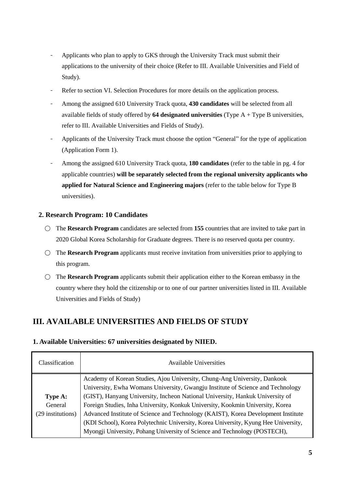- Applicants who plan to apply to GKS through the University Track must submit their applications to the university of their choice (Refer to III. Available Universities and Field of Study).
- Refer to section VI. Selection Procedures for more details on the application process.
- Among the assigned 610 University Track quota, **430 candidates** will be selected from all available fields of study offered by **64 designated universities** (Type A + Type B universities, refer to III. Available Universities and Fields of Study).
- Applicants of the University Track must choose the option "General" for the type of application (Application Form 1).
- Among the assigned 610 University Track quota, **180 candidates** (refer to the table in pg. 4 for applicable countries) **will be separately selected from the regional university applicants who applied for Natural Science and Engineering majors** (refer to the table below for Type B universities).

#### **2. Research Program: 10 Candidates**

- The **Research Program** candidates are selected from **155** countries that are invited to take part in 2020 Global Korea Scholarship for Graduate degrees. There is no reserved quota per country.
- The **Research Program** applicants must receive invitation from universities prior to applying to this program.
- The **Research Program** applicants submit their application either to the Korean embassy in the country where they hold the citizenship or to one of our partner universities listed in III. Available Universities and Fields of Study)

# <span id="page-10-0"></span>**III. AVAILABLE UNIVERSITIES AND FIELDS OF STUDY**

#### **1. Available Universities: 67 universities designated by NIIED.**

| Classification    | <b>Available Universities</b>                                                       |
|-------------------|-------------------------------------------------------------------------------------|
|                   | Academy of Korean Studies, Ajou University, Chung-Ang University, Dankook           |
|                   | University, Ewha Womans University, Gwangju Institute of Science and Technology     |
| Type A:           | (GIST), Hanyang University, Incheon National University, Hankuk University of       |
| General           | Foreign Studies, Inha University, Konkuk University, Kookmin University, Korea      |
| (29 institutions) | Advanced Institute of Science and Technology (KAIST), Korea Development Institute   |
|                   | (KDI School), Korea Polytechnic University, Korea University, Kyung Hee University, |
|                   | Myongji University, Pohang University of Science and Technology (POSTECH),          |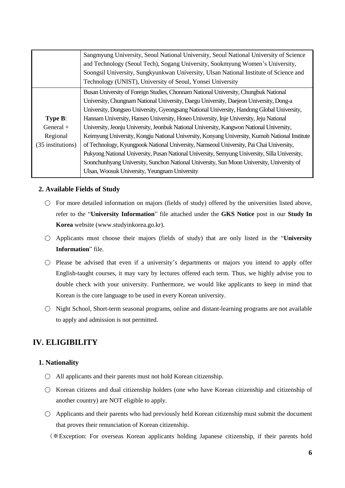|                   | Sangmyung University, Seoul National University, Seoul National University of Science         |  |  |  |
|-------------------|-----------------------------------------------------------------------------------------------|--|--|--|
|                   | and Technology (Seoul Tech), Sogang University, Sookmyung Women's University,                 |  |  |  |
|                   | Soongsil University, Sungkyunkwan University, Ulsan National Institute of Science and         |  |  |  |
|                   | Technology (UNIST), University of Seoul, Yonsei University                                    |  |  |  |
|                   | Busan University of Foreign Studies, Chonnam National University, Chungbuk National           |  |  |  |
|                   | University, Chungnam National University, Daegu University, Daejeon University, Dong-a        |  |  |  |
|                   | University, Dongseo University, Gyeongsang National University, Handong Global University,    |  |  |  |
| Type B:           | Hannam University, Hanseo University, Hoseo University, Inje University, Jeju National        |  |  |  |
| General $+$       | University, Jeonju University, Jeonbuk National University, Kangwon National University,      |  |  |  |
| Regional          | Keimyung University, Kongju National University, Konyang University, Kumoh National Institute |  |  |  |
| (35 institutions) | of Technology, Kyungpook National University, Namseoul University, Pai Chai University,       |  |  |  |
|                   | Pukyong National University, Pusan National University, Semyung University, Silla University, |  |  |  |
|                   | Soonchunhyang University, Sunchon National University, Sun Moon University, University of     |  |  |  |
|                   | Ulsan, Woosuk University, Yeungnam University                                                 |  |  |  |

#### **2. Available Fields of Study**

- For more detailed information on majors (fields of study) offered by the universities listed above, refer to the "**University Information**" file attached under the **GKS Notice** post in our **Study In Korea** website (www.studyinkorea.go.kr).
- Applicants must choose their majors (fields of study) that are only listed in the "**University Information**" file.
- $\bigcirc$  Please be advised that even if a university's departments or majors you intend to apply offer English-taught courses, it may vary by lectures offered each term. Thus, we highly advise you to double check with your university. Furthermore, we would like applicants to keep in mind that Korean is the core language to be used in every Korean university.
- Night School, Short-term seasonal programs, online and distant-learning programs are not available to apply and admission is not permitted.

# <span id="page-11-0"></span>**IV. ELIGIBILITY**

#### **1. Nationality**

- All applicants and their parents must not hold Korean citizenship.
- Korean citizens and dual citizenship holders (one who have Korean citizenship and citizenship of another country) are NOT eligible to apply.
- $\bigcirc$  Applicants and their parents who had previously held Korean citizenship must submit the document that proves their renunciation of Korean citizenship.

(※Exception: For overseas Korean applicants holding Japanese citizenship, if their parents hold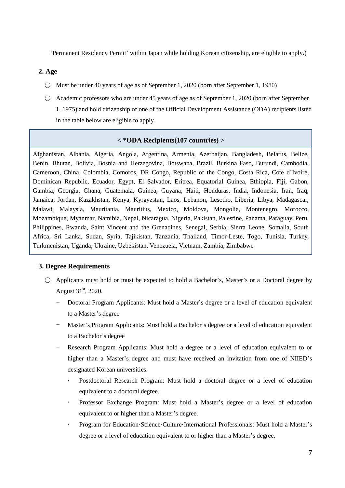"Permanent Residency Permit" within Japan while holding Korean citizenship, are eligible to apply.)

#### **2. Age**

- Must be under 40 years of age as of September 1, 2020 (born after September 1, 1980)
- Academic professors who are under 45 years of age as of September 1, 2020 (born after September 1, 1975) and hold citizenship of one of the Official Development Assistance (ODA) recipients listed in the table below are eligible to apply.

#### **< \*ODA Recipients(107 countries) >**

Afghanistan, Albania, Algeria, Angola, Argentina, Armenia, Azerbaijan, Bangladesh, Belarus, Belize, Benin, Bhutan, Bolivia, Bosnia and Herzegovina, Botswana, Brazil, Burkina Faso, Burundi, Cambodia, Cameroon, China, Colombia, Comoros, DR Congo, Republic of the Congo, Costa Rica, Cote d"Ivoire, Dominican Republic, Ecuador, Egypt, El Salvador, Eritrea, Equatorial Guinea, Ethiopia, Fiji, Gabon, Gambia, Georgia, Ghana, Guatemala, Guinea, Guyana, Haiti, Honduras, India, Indonesia, Iran, Iraq, Jamaica, Jordan, Kazakhstan, Kenya, Kyrgyzstan, Laos, Lebanon, Lesotho, Liberia, Libya, Madagascar, Malawi, Malaysia, Mauritania, Mauritius, Mexico, Moldova, Mongolia, Montenegro, Morocco, Mozambique, Myanmar, Namibia, Nepal, Nicaragua, Nigeria, Pakistan, Palestine, Panama, Paraguay, Peru, Philippines, Rwanda, Saint Vincent and the Grenadines, Senegal, Serbia, Sierra Leone, Somalia, South Africa, Sri Lanka, Sudan, Syria, Tajikistan, Tanzania, Thailand, Timor-Leste, Togo, Tunisia, Turkey, Turkmenistan, Uganda, Ukraine, Uzbekistan, Venezuela, Vietnam, Zambia, Zimbabwe

#### **3. Degree Requirements**

- Applicants must hold or must be expected to hold a Bachelor's, Master's or a Doctoral degree by August  $31<sup>st</sup>$ , 2020.
	- Doctoral Program Applicants: Must hold a Master"s degree or a level of education equivalent to a Master's degree
	- Master's Program Applicants: Must hold a Bachelor's degree or a level of education equivalent to a Bachelor"s degree
	- Research Program Applicants: Must hold a degree or a level of education equivalent to or higher than a Master's degree and must have received an invitation from one of NIIED's designated Korean universities.
		- Postdoctoral Research Program: Must hold a doctoral degree or a level of education equivalent to a doctoral degree.
		- Professor Exchange Program: Must hold a Master's degree or a level of education equivalent to or higher than a Master"s degree.
		- Program for Education·Science·Culture·International Professionals: Must hold a Master"s degree or a level of education equivalent to or higher than a Master's degree.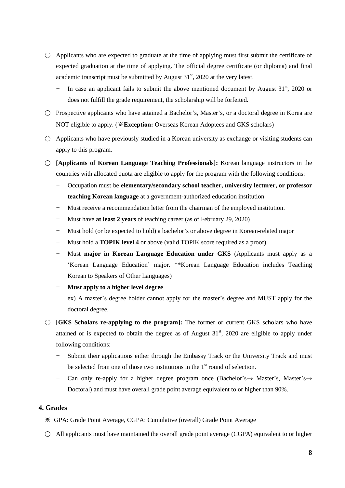- $\bigcirc$  Applicants who are expected to graduate at the time of applying must first submit the certificate of expected graduation at the time of applying. The official degree certificate (or diploma) and final academic transcript must be submitted by August  $31<sup>st</sup>$ , 2020 at the very latest.
	- $-$  In case an applicant fails to submit the above mentioned document by August 31<sup>st</sup>, 2020 or does not fulfill the grade requirement, the scholarship will be forfeited.
- Prospective applicants who have attained a Bachelor's, Master's, or a doctoral degree in Korea are NOT eligible to apply. (※**Exception:** Overseas Korean Adoptees and GKS scholars)
- $\bigcirc$  Applicants who have previously studied in a Korean university as exchange or visiting students can apply to this program.
- **[Applicants of Korean Language Teaching Professionals]:** Korean language instructors in the countries with allocated quota are eligible to apply for the program with the following conditions:
	- Occupation must be **elementary/secondary school teacher, university lecturer, or professor teaching Korean language** at a government-authorized education institution
	- Must receive a recommendation letter from the chairman of the employed institution.
	- Must have **at least 2 years** of teaching career (as of February 29, 2020)
	- Must hold (or be expected to hold) a bachelor's or above degree in Korean-related major
	- Must hold a **TOPIK level 4** or above (valid TOPIK score required as a proof)
	- Must **major in Korean Language Education under GKS** (Applicants must apply as a "Korean Language Education" major. \*\*Korean Language Education includes Teaching Korean to Speakers of Other Languages)
	- **Must apply to a higher level degree**

ex) A master's degree holder cannot apply for the master's degree and MUST apply for the doctoral degree.

- **[GKS Scholars re-applying to the program]:** The former or current GKS scholars who have attained or is expected to obtain the degree as of August  $31<sup>st</sup>$ , 2020 are eligible to apply under following conditions:
	- Submit their applications either through the Embassy Track or the University Track and must be selected from one of those two institutions in the  $1<sup>st</sup>$  round of selection.
	- Can only re-apply for a higher degree program once (Bachelor's  $\rightarrow$  Master's, Master's  $\rightarrow$ Doctoral) and must have overall grade point average equivalent to or higher than 90%.

#### **4. Grades**

- ※ GPA: Grade Point Average, CGPA: Cumulative (overall) Grade Point Average
- $\circ$  All applicants must have maintained the overall grade point average (CGPA) equivalent to or higher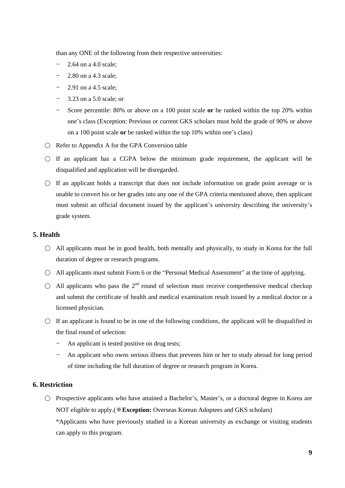than any ONE of the following from their respective universities:

- 2.64 on a 4.0 scale;
- 2.80 on a 4.3 scale;
- 2.91 on a 4.5 scale;
- 3.23 on a 5.0 scale; or
- Score percentile: 80% or above on a 100 point scale **or** be ranked within the top 20% within one"s class (Exception: Previous or current GKS scholars must hold the grade of 90% or above on a 100 point scale **or** be ranked within the top 10% within one"s class)
- Refer to Appendix A for the GPA Conversion table
- $\bigcirc$  If an applicant has a CGPA below the minimum grade requirement, the applicant will be disqualified and application will be disregarded.
- $\bigcirc$  If an applicant holds a transcript that does not include information on grade point average or is unable to convert his or her grades into any one of the GPA criteria mentioned above, then applicant must submit an official document issued by the applicant's university describing the university's grade system.

#### **5. Health**

- $\circ$  All applicants must be in good health, both mentally and physically, to study in Korea for the full duration of degree or research programs.
- All applicants must submit Form 6 or the "Personal Medical Assessment" at the time of applying.
- $\bigcirc$  All applicants who pass the  $2^{nd}$  round of selection must receive comprehensive medical checkup and submit the certificate of health and medical examination result issued by a medical doctor or a licensed physician.
- $\circ$  If an applicant is found to be in one of the following conditions, the applicant will be disqualified in the final round of selection:
	- An applicant is tested positive on drug tests;
	- An applicant who owns serious illness that prevents him or her to study abroad for long period of time including the full duration of degree or research program in Korea.

#### **6. Restriction**

○ Prospective applicants who have attained a Bachelor"s, Master"s, or a doctoral degree in Korea are NOT eligible to apply.(※**Exception:** Overseas Korean Adoptees and GKS scholars)

\*Applicants who have previously studied in a Korean university as exchange or visiting students can apply to this program.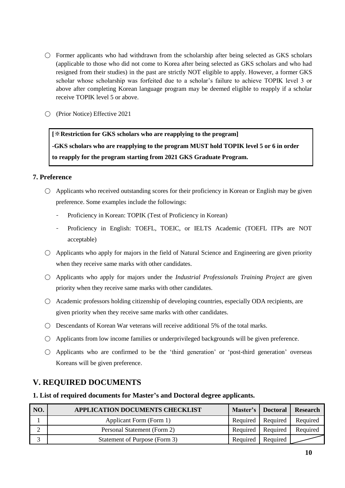- $\circ$  Former applicants who had withdrawn from the scholarship after being selected as GKS scholars (applicable to those who did not come to Korea after being selected as GKS scholars and who had resigned from their studies) in the past are strictly NOT eligible to apply. However, a former GKS scholar whose scholarship was forfeited due to a scholar"s failure to achieve TOPIK level 3 or above after completing Korean language program may be deemed eligible to reapply if a scholar receive TOPIK level 5 or above.
- (Prior Notice) Effective 2021

**[**※**Restriction for GKS scholars who are reapplying to the program] -GKS scholars who are reapplying to the program MUST hold TOPIK level 5 or 6 in order to reapply for the program starting from 2021 GKS Graduate Program.**

#### **7. Preference**

- $\bigcirc$  Applicants who received outstanding scores for their proficiency in Korean or English may be given preference. Some examples include the followings:
	- Proficiency in Korean: TOPIK (Test of Proficiency in Korean)
	- Proficiency in English: TOEFL, TOEIC, or IELTS Academic (TOEFL ITPs are NOT acceptable)
- $\circ$  Applicants who apply for majors in the field of Natural Science and Engineering are given priority when they receive same marks with other candidates.
- Applicants who apply for majors under the *Industrial Professionals Training Project* are given priority when they receive same marks with other candidates.
- Academic professors holding citizenship of developing countries, especially ODA recipients, are given priority when they receive same marks with other candidates.
- $\bigcirc$  Descendants of Korean War veterans will receive additional 5% of the total marks.
- Applicants from low income families or underprivileged backgrounds will be given preference.
- $\bigcirc$  Applicants who are confirmed to be the 'third generation' or 'post-third generation' overseas Koreans will be given preference.

# <span id="page-15-0"></span>**V. REQUIRED DOCUMENTS**

#### **1. List of required documents for Master's and Doctoral degree applicants.**

| NO. | <b>APPLICATION DOCUMENTS CHECKLIST</b> |                     | Master's Doctoral   | <b>Research</b> |
|-----|----------------------------------------|---------------------|---------------------|-----------------|
|     | Applicant Form (Form 1)                |                     | Required   Required | Required        |
|     | Personal Statement (Form 2)            | Required Required   |                     | Required        |
|     | Statement of Purpose (Form 3)          | Required   Required |                     |                 |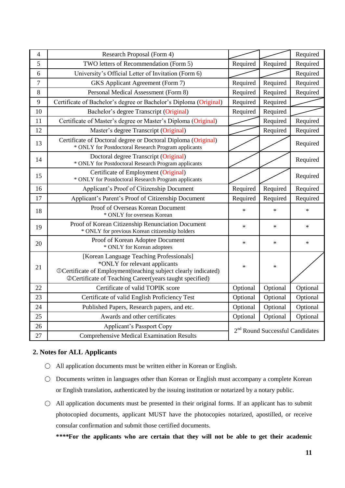| 4  | Research Proposal (Form 4)                                                                                                                                                                              |                                             |          | Required |
|----|---------------------------------------------------------------------------------------------------------------------------------------------------------------------------------------------------------|---------------------------------------------|----------|----------|
| 5  | TWO letters of Recommendation (Form 5)                                                                                                                                                                  | Required                                    | Required | Required |
| 6  | University's Official Letter of Invitation (Form 6)                                                                                                                                                     |                                             |          | Required |
| 7  | <b>GKS</b> Applicant Agreement (Form 7)                                                                                                                                                                 | Required                                    | Required | Required |
| 8  | Personal Medical Assessment (Form 8)                                                                                                                                                                    | Required                                    | Required | Required |
| 9  | Certificate of Bachelor's degree or Bachelor's Diploma (Original)                                                                                                                                       | Required                                    | Required |          |
| 10 | Bachelor's degree Transcript (Original)                                                                                                                                                                 | Required                                    | Required |          |
| 11 | Certificate of Master's degree or Master's Diploma (Original)                                                                                                                                           |                                             | Required | Required |
| 12 | Master's degree Transcript (Original)                                                                                                                                                                   |                                             | Required | Required |
| 13 | Certificate of Doctoral degree or Doctoral Diploma (Original)<br>* ONLY for Postdoctoral Research Program applicants                                                                                    |                                             |          | Required |
| 14 | Doctoral degree Transcript (Original)<br>* ONLY for Postdoctoral Research Program applicants                                                                                                            |                                             |          | Required |
| 15 | Certificate of Employment (Original)<br>* ONLY for Postdoctoral Research Program applicants                                                                                                             |                                             |          | Required |
| 16 | Applicant's Proof of Citizenship Document                                                                                                                                                               | Required                                    | Required | Required |
| 17 | Applicant's Parent's Proof of Citizenship Document                                                                                                                                                      | Required                                    | Required | Required |
| 18 | Proof of Overseas Korean Document<br>* ONLY for overseas Korean                                                                                                                                         | $\ast$                                      | $\ast$   | $\ast$   |
| 19 | Proof of Korean Citizenship Renunciation Document<br>* ONLY for previous Korean citizenship holders                                                                                                     | $\ast$                                      | $\ast$   | $\ast$   |
| 20 | Proof of Korean Adoptee Document<br>* ONLY for Korean adoptees                                                                                                                                          | $\ast$                                      | $\ast$   | ∗        |
| 21 | [Korean Language Teaching Professionals]<br>*ONLY for relevant applicants<br>OCertificate of Employment (teaching subject clearly indicated)<br>@Certificate of Teaching Career(years taught specified) | $\ast$                                      | $\ast$   |          |
| 22 | Certificate of valid TOPIK score                                                                                                                                                                        | Optional                                    | Optional | Optional |
| 23 | Certificate of valid English Proficiency Test                                                                                                                                                           | Optional                                    | Optional | Optional |
| 24 | Published Papers, Research papers, and etc.                                                                                                                                                             | Optional                                    | Optional | Optional |
| 25 | Awards and other certificates                                                                                                                                                                           | Optional                                    | Optional | Optional |
| 26 | <b>Applicant's Passport Copy</b>                                                                                                                                                                        |                                             |          |          |
| 27 | <b>Comprehensive Medical Examination Results</b>                                                                                                                                                        | 2 <sup>nd</sup> Round Successful Candidates |          |          |

#### **2. Notes for ALL Applicants**

- All application documents must be written either in Korean or English.
- Documents written in languages other than Korean or English must accompany a complete Korean or English translation, authenticated by the issuing institution or notarized by a notary public.
- All application documents must be presented in their original forms. If an applicant has to submit photocopied documents, applicant MUST have the photocopies notarized, apostilled, or receive consular confirmation and submit those certified documents.

**\****\*\*\****For the applicants who are certain that they will not be able to get their academic**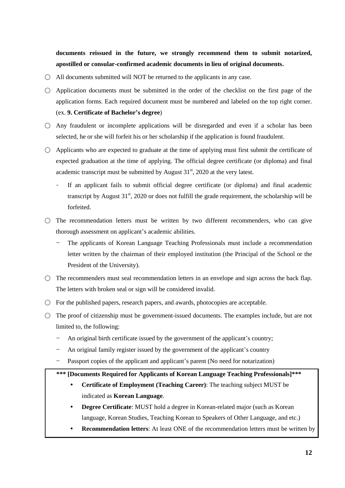**documents reissued in the future, we strongly recommend them to submit notarized, apostilled or consular-confirmed academic documents in lieu of original documents.**

- $\bigcirc$  All documents submitted will NOT be returned to the applicants in any case.
- Application documents must be submitted in the order of the checklist on the first page of the application forms. Each required document must be numbered and labeled on the top right corner. (ex. **9. Certificate of Bachelor's degree**)
- $\circ$  Any fraudulent or incomplete applications will be disregarded and even if a scholar has been selected, he or she will forfeit his or her scholarship if the application is found fraudulent.
- $\bigcirc$  Applicants who are expected to graduate at the time of applying must first submit the certificate of expected graduation at the time of applying. The official degree certificate (or diploma) and final academic transcript must be submitted by August  $31<sup>st</sup>$ , 2020 at the very latest.
	- If an applicant fails to submit official degree certificate (or diploma) and final academic transcript by August  $31<sup>st</sup>$ , 2020 or does not fulfill the grade requirement, the scholarship will be forfeited.
- $\bigcirc$  The recommendation letters must be written by two different recommenders, who can give thorough assessment on applicant's academic abilities.
	- The applicants of Korean Language Teaching Professionals must include a recommendation letter written by the chairman of their employed institution (the Principal of the School or the President of the University).
- $\bigcirc$  The recommenders must seal recommendation letters in an envelope and sign across the back flap. The letters with broken seal or sign will be considered invalid.
- $\bigcirc$  For the published papers, research papers, and awards, photocopies are acceptable.
- $\bigcirc$  The proof of citizenship must be government-issued documents. The examples include, but are not limited to, the following:
	- An original birth certificate issued by the government of the applicant's country;
	- An original family register issued by the government of the applicant's country
	- Passport copies of the applicant and applicant's parent (No need for notarization)

#### **\*\*\* [Documents Required for Applicants of Korean Language Teaching Professionals]\*\*\***

- **Certificate of Employment (Teaching Career)**: The teaching subject MUST be indicated as **Korean Language**.
- **Degree Certificate**: MUST hold a degree in Korean-related major (such as Korean language, Korean Studies, Teaching Korean to Speakers of Other Language, and etc.)
- **Recommendation letters**: At least ONE of the recommendation letters must be written by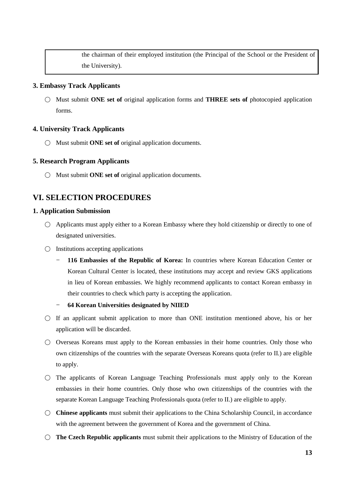the chairman of their employed institution (the Principal of the School or the President of the University).

#### **3. Embassy Track Applicants**

○ Must submit **ONE set of** original application forms and **THREE sets of** photocopied application forms.

#### **4. University Track Applicants**

○ Must submit **ONE set of** original application documents.

#### **5. Research Program Applicants**

○ Must submit **ONE** set of original application documents.

# <span id="page-18-0"></span>**VI. SELECTION PROCEDURES**

#### **1. Application Submission**

- Applicants must apply either to a Korean Embassy where they hold citizenship or directly to one of designated universities.
- $\bigcirc$  Institutions accepting applications
	- **116 Embassies of the Republic of Korea:** In countries where Korean Education Center or Korean Cultural Center is located, these institutions may accept and review GKS applications in lieu of Korean embassies. We highly recommend applicants to contact Korean embassy in their countries to check which party is accepting the application.

#### - **64 Korean Universities designated by NIIED**

- $\circ$  If an applicant submit application to more than ONE institution mentioned above, his or her application will be discarded.
- Overseas Koreans must apply to the Korean embassies in their home countries. Only those who own citizenships of the countries with the separate Overseas Koreans quota (refer to II.) are eligible to apply.
- $\bigcirc$  The applicants of Korean Language Teaching Professionals must apply only to the Korean embassies in their home countries. Only those who own citizenships of the countries with the separate Korean Language Teaching Professionals quota (refer to II.) are eligible to apply.
- **Chinese applicants** must submit their applications to the China Scholarship Council, in accordance with the agreement between the government of Korea and the government of China.
- **The Czech Republic applicants** must submit their applications to the Ministry of Education of the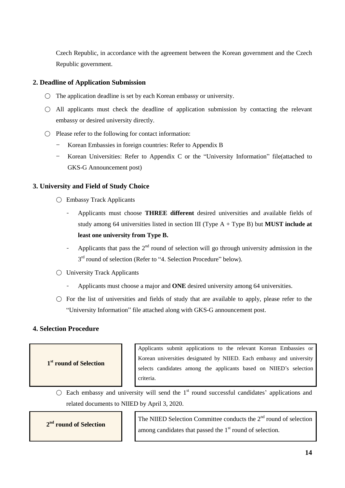Czech Republic, in accordance with the agreement between the Korean government and the Czech Republic government.

#### **2. Deadline of Application Submission**

- $\bigcirc$  The application deadline is set by each Korean embassy or university.
- All applicants must check the deadline of application submission by contacting the relevant embassy or desired university directly.
- Please refer to the following for contact information:
	- Korean Embassies in foreign countries: Refer to Appendix B
	- Korean Universities: Refer to Appendix C or the "University Information" file(attached to GKS-G Announcement post)

#### **3. University and Field of Study Choice**

- Embassy Track Applicants
	- Applicants must choose **THREE different** desired universities and available fields of study among 64 universities listed in section III (Type A + Type B) but **MUST include at least one university from Type B.**
	- Applicants that pass the  $2<sup>nd</sup>$  round of selection will go through university admission in the 3<sup>rd</sup> round of selection (Refer to "4. Selection Procedure" below).
- University Track Applicants
	- Applicants must choose a major and **ONE** desired university among 64 universities.
- $\bigcirc$  For the list of universities and fields of study that are available to apply, please refer to the "University Information" file attached along with GKS-G announcement post.

#### **4. Selection Procedure**

**1 st round of Selection**

Applicants submit applications to the relevant Korean Embassies or Korean universities designated by NIIED. Each embassy and university selects candidates among the applicants based on NIIED"s selection criteria.

 $\bigcirc$  Each embassy and university will send the 1<sup>st</sup> round successful candidates' applications and related documents to NIIED by April 3, 2020.

**2 nd round of Selection** 

The NIIED Selection Committee conducts the 2<sup>nd</sup> round of selection among candidates that passed the  $1<sup>st</sup>$  round of selection.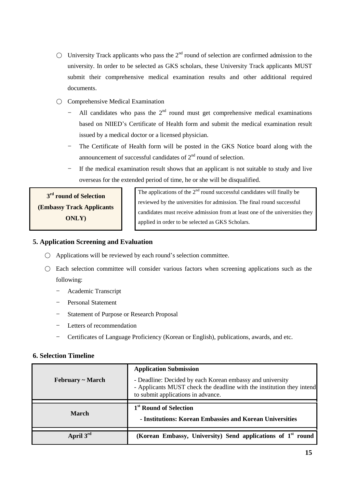- $\bigcirc$  University Track applicants who pass the 2<sup>nd</sup> round of selection are confirmed admission to the university. In order to be selected as GKS scholars, these University Track applicants MUST submit their comprehensive medical examination results and other additional required documents.
- $\bigcirc$  Comprehensive Medical Examination
	- All candidates who pass the  $2<sup>nd</sup>$  round must get comprehensive medical examinations based on NIIED"s Certificate of Health form and submit the medical examination result issued by a medical doctor or a licensed physician.
	- The Certificate of Health form will be posted in the GKS Notice board along with the announcement of successful candidates of  $2<sup>nd</sup>$  round of selection.
	- If the medical examination result shows that an applicant is not suitable to study and live overseas for the extended period of time, he or she will be disqualified.

**3 rd round of Selection (Embassy Track Applicants ONLY)**

The applications of the  $2<sup>nd</sup>$  round successful candidates will finally be reviewed by the universities for admission. The final round successful candidates must receive admission from at least one of the universities they applied in order to be selected as GKS Scholars.

### **5. Application Screening and Evaluation**

- $\bigcirc$  Applications will be reviewed by each round's selection committee.
- $\bigcirc$  Each selection committee will consider various factors when screening applications such as the following:
	- Academic Transcript
	- Personal Statement
	- Statement of Purpose or Research Proposal
	- Letters of recommendation
	- Certificates of Language Proficiency (Korean or English), publications, awards, and etc.

#### **6. Selection Timeline**

|                       | <b>Application Submission</b>                                                                                                                                            |
|-----------------------|--------------------------------------------------------------------------------------------------------------------------------------------------------------------------|
| $February \sim March$ | - Deadline: Decided by each Korean embassy and university<br>- Applicants MUST check the deadline with the institution they intend<br>to submit applications in advance. |
|                       |                                                                                                                                                                          |
| <b>March</b>          | 1 <sup>st</sup> Round of Selection<br>- Institutions: Korean Embassies and Korean Universities                                                                           |
| April $3^{\text{rd}}$ | (Korean Embassy, University) Send applications of 1 <sup>st</sup> round                                                                                                  |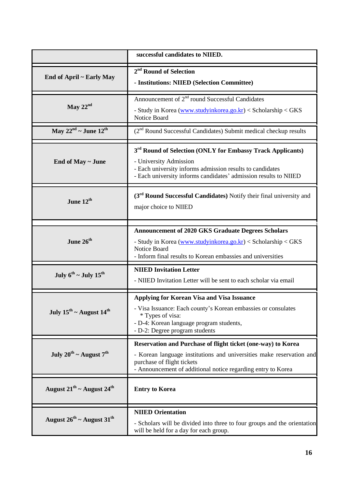|                                                 | successful candidates to NIIED.                                                                                                                                                                                                    |
|-------------------------------------------------|------------------------------------------------------------------------------------------------------------------------------------------------------------------------------------------------------------------------------------|
| End of April ~ Early May                        | 2 <sup>nd</sup> Round of Selection<br>- Institutions: NIIED (Selection Committee)                                                                                                                                                  |
| May $22nd$                                      | Announcement of 2 <sup>nd</sup> round Successful Candidates<br>- Study in Korea (www.studyinkorea.go.kr) < Scholarship < GKS<br>Notice Board                                                                                       |
| May $22^{nd}$ ~ June $12^{th}$                  | (2 <sup>nd</sup> Round Successful Candidates) Submit medical checkup results                                                                                                                                                       |
| End of May ~ June                               | 3 <sup>rd</sup> Round of Selection (ONLY for Embassy Track Applicants)<br>- University Admission<br>- Each university informs admission results to candidates<br>- Each university informs candidates' admission results to NIIED  |
| June $12^{\text{th}}$                           | (3 <sup>rd</sup> Round Successful Candidates) Notify their final university and<br>major choice to NIIED                                                                                                                           |
| June $26^{\text{th}}$                           | <b>Announcement of 2020 GKS Graduate Degrees Scholars</b><br>- Study in Korea (www.studyinkorea.go.kr) < Scholarship < GKS<br>Notice Board<br>- Inform final results to Korean embassies and universities                          |
| July $6^{th}$ ~ July $15^{th}$                  | <b>NIIED Invitation Letter</b><br>- NIIED Invitation Letter will be sent to each scholar via email                                                                                                                                 |
| July $15^{\text{th}}$ ~ August $14^{\text{th}}$ | <b>Applying for Korean Visa and Visa Issuance</b><br>- Visa Issuance: Each county's Korean embassies or consulates<br>* Types of visa:<br>- D-4: Korean language program students,<br>- D-2: Degree program students               |
| July $20^{th}$ ~ August $7^{th}$                | Reservation and Purchase of flight ticket (one-way) to Korea<br>- Korean language institutions and universities make reservation and<br>purchase of flight tickets<br>- Announcement of additional notice regarding entry to Korea |
| August $21^{th}$ ~ August $24^{th}$             | <b>Entry to Korea</b>                                                                                                                                                                                                              |
| August $26^{th}$ ~ August $31^{th}$             | <b>NIIED Orientation</b><br>- Scholars will be divided into three to four groups and the orientation<br>will be held for a day for each group.                                                                                     |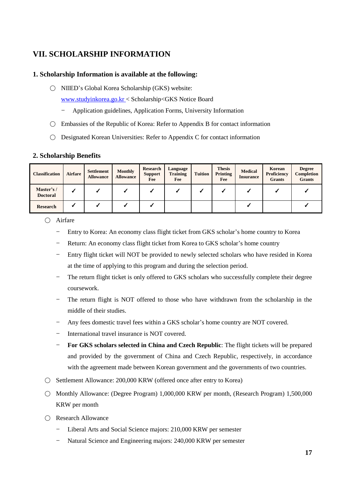# <span id="page-22-0"></span>**VII. SCHOLARSHIP INFORMATION**

#### **1. Scholarship Information is available at the following:**

○ NIIED"s Global Korea Scholarship (GKS) website:

[www.studyinkorea.go.kr](http://www.studyinkorea.go.kr/) < Scholarship<GKS Notice Board

- Application guidelines, Application Forms, University Information
- $\bigcirc$  Embassies of the Republic of Korea: Refer to Appendix B for contact information
- $\bigcirc$  Designated Korean Universities: Refer to Appendix C for contact information

#### **2. Scholarship Benefits**

| <b>Classification</b>        | <b>Airfare</b> | <b>Settlement</b><br><b>Allowance</b> | Monthly<br><b>Allowance</b> | Research<br><b>Support</b><br>Fee | Language<br><b>Training</b><br>Fee | <b>Tuition</b> | <b>Thesis</b><br>Printing<br>Fee | <b>Medical</b><br><b>Insurance</b> | Korean<br><b>Proficiency</b><br><b>Grants</b> | <b>Degree</b><br>Completion<br><b>Grants</b> |
|------------------------------|----------------|---------------------------------------|-----------------------------|-----------------------------------|------------------------------------|----------------|----------------------------------|------------------------------------|-----------------------------------------------|----------------------------------------------|
| Master's/<br><b>Doctoral</b> |                |                                       |                             |                                   |                                    |                |                                  |                                    |                                               |                                              |
| <b>Research</b>              |                |                                       |                             |                                   |                                    |                |                                  |                                    |                                               |                                              |

○ Airfare

- Entry to Korea: An economy class flight ticket from GKS scholar"s home country to Korea
- Return: An economy class flight ticket from Korea to GKS scholar's home country
- Entry flight ticket will NOT be provided to newly selected scholars who have resided in Korea at the time of applying to this program and during the selection period.
- The return flight ticket is only offered to GKS scholars who successfully complete their degree coursework.
- The return flight is NOT offered to those who have withdrawn from the scholarship in the middle of their studies.
- Any fees domestic travel fees within a GKS scholar"s home country are NOT covered.
- International travel insurance is NOT covered.
- **For GKS scholars selected in China and Czech Republic**: The flight tickets will be prepared and provided by the government of China and Czech Republic, respectively, in accordance with the agreement made between Korean government and the governments of two countries.
- Settlement Allowance: 200,000 KRW (offered once after entry to Korea)
- Monthly Allowance: (Degree Program) 1,000,000 KRW per month, (Research Program) 1,500,000 KRW per month
- Research Allowance
	- Liberal Arts and Social Science majors: 210,000 KRW per semester
	- Natural Science and Engineering majors: 240,000 KRW per semester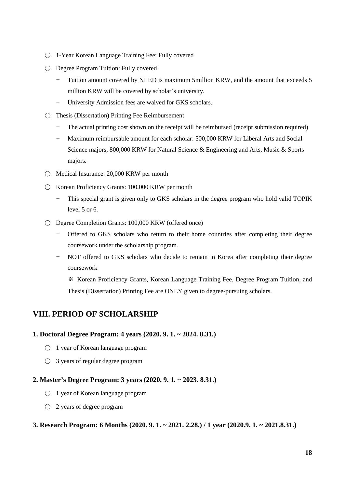- 1-Year Korean Language Training Fee: Fully covered
- Degree Program Tuition: Fully covered
	- Tuition amount covered by NIIED is maximum 5million KRW, and the amount that exceeds 5 million KRW will be covered by scholar"s university.
	- University Admission fees are waived for GKS scholars.
- Thesis (Dissertation) Printing Fee Reimbursement
	- The actual printing cost shown on the receipt will be reimbursed (receipt submission required)
	- Maximum reimbursable amount for each scholar: 500,000 KRW for Liberal Arts and Social Science majors, 800,000 KRW for Natural Science & Engineering and Arts, Music & Sports majors.
- Medical Insurance: 20,000 KRW per month
- Korean Proficiency Grants: 100,000 KRW per month
	- This special grant is given only to GKS scholars in the degree program who hold valid TOPIK level 5 or 6.
- Degree Completion Grants: 100,000 KRW (offered once)
	- Offered to GKS scholars who return to their home countries after completing their degree coursework under the scholarship program.
	- NOT offered to GKS scholars who decide to remain in Korea after completing their degree coursework

※ Korean Proficiency Grants, Korean Language Training Fee, Degree Program Tuition, and Thesis (Dissertation) Printing Fee are ONLY given to degree-pursuing scholars.

# <span id="page-23-0"></span>**VIII. PERIOD OF SCHOLARSHIP**

#### **1. Doctoral Degree Program: 4 years (2020. 9. 1. ~ 2024. 8.31.)**

- 1 year of Korean language program
- $\bigcirc$  3 years of regular degree program

#### **2. Master's Degree Program: 3 years (2020. 9. 1. ~ 2023. 8.31.)**

- 1 year of Korean language program
- 2 years of degree program

#### **3. Research Program: 6 Months (2020. 9. 1. ~ 2021. 2.28.) / 1 year (2020.9. 1. ~ 2021.8.31.)**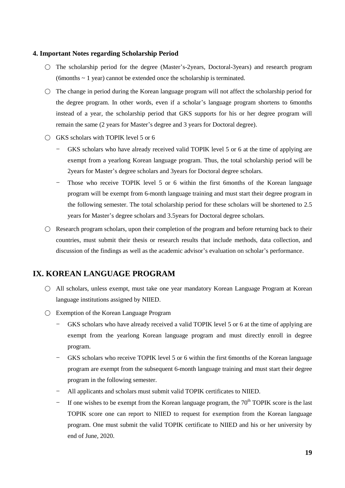#### **4. Important Notes regarding Scholarship Period**

- $\bigcirc$  The scholarship period for the degree (Master's-2years, Doctoral-3years) and research program (6months  $\sim$  1 year) cannot be extended once the scholarship is terminated.
- $\circ$  The change in period during the Korean language program will not affect the scholarship period for the degree program. In other words, even if a scholar"s language program shortens to 6months instead of a year, the scholarship period that GKS supports for his or her degree program will remain the same (2 years for Master"s degree and 3 years for Doctoral degree).
- $\bigcirc$  GKS scholars with TOPIK level 5 or 6
	- GKS scholars who have already received valid TOPIK level 5 or 6 at the time of applying are exempt from a yearlong Korean language program. Thus, the total scholarship period will be 2years for Master"s degree scholars and 3years for Doctoral degree scholars.
	- Those who receive TOPIK level 5 or 6 within the first 6months of the Korean language program will be exempt from 6-month language training and must start their degree program in the following semester. The total scholarship period for these scholars will be shortened to 2.5 years for Master"s degree scholars and 3.5years for Doctoral degree scholars.
- $\bigcirc$  Research program scholars, upon their completion of the program and before returning back to their countries, must submit their thesis or research results that include methods, data collection, and discussion of the findings as well as the academic advisor"s evaluation on scholar"s performance.

# <span id="page-24-0"></span>**IX. KOREAN LANGUAGE PROGRAM**

- All scholars, unless exempt, must take one year mandatory Korean Language Program at Korean language institutions assigned by NIIED.
- ◯ Exemption of the Korean Language Program
	- GKS scholars who have already received a valid TOPIK level 5 or 6 at the time of applying are exempt from the yearlong Korean language program and must directly enroll in degree program.
	- GKS scholars who receive TOPIK level 5 or 6 within the first 6months of the Korean language program are exempt from the subsequent 6-month language training and must start their degree program in the following semester.
	- All applicants and scholars must submit valid TOPIK certificates to NIIED.
	- If one wishes to be exempt from the Korean language program, the  $70<sup>th</sup>$  TOPIK score is the last TOPIK score one can report to NIIED to request for exemption from the Korean language program. One must submit the valid TOPIK certificate to NIIED and his or her university by end of June, 2020.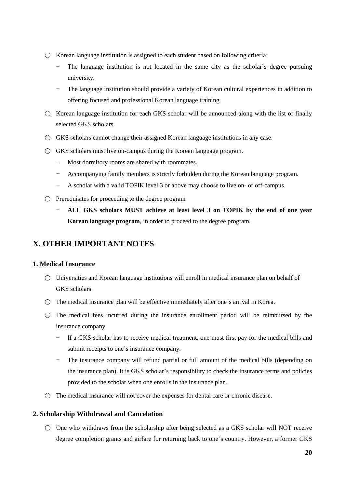- $\bigcirc$  Korean language institution is assigned to each student based on following criteria:
	- The language institution is not located in the same city as the scholar's degree pursuing university.
	- The language institution should provide a variety of Korean cultural experiences in addition to offering focused and professional Korean language training
- $\circ$  Korean language institution for each GKS scholar will be announced along with the list of finally selected GKS scholars.
- GKS scholars cannot change their assigned Korean language institutions in any case.
- $\bigcirc$  GKS scholars must live on-campus during the Korean language program.
	- Most dormitory rooms are shared with roommates.
	- Accompanying family members is strictly forbidden during the Korean language program.
	- A scholar with a valid TOPIK level 3 or above may choose to live on- or off-campus.
- $\bigcirc$  Prerequisites for proceeding to the degree program
	- **ALL GKS scholars MUST achieve at least level 3 on TOPIK by the end of one year Korean language program**, in order to proceed to the degree program.

# <span id="page-25-0"></span>**X. OTHER IMPORTANT NOTES**

#### **1. Medical Insurance**

- $\circlearrowright$  Universities and Korean language institutions will enroll in medical insurance plan on behalf of GKS scholars.
- $\bigcirc$  The medical insurance plan will be effective immediately after one's arrival in Korea.
- $\bigcirc$  The medical fees incurred during the insurance enrollment period will be reimbursed by the insurance company.
	- If a GKS scholar has to receive medical treatment, one must first pay for the medical bills and submit receipts to one's insurance company.
	- The insurance company will refund partial or full amount of the medical bills (depending on the insurance plan). It is GKS scholar"s responsibility to check the insurance terms and policies provided to the scholar when one enrolls in the insurance plan.
- $\bigcirc$  The medical insurance will not cover the expenses for dental care or chronic disease.

#### **2. Scholarship Withdrawal and Cancelation**

 $\circ$  One who withdraws from the scholarship after being selected as a GKS scholar will NOT receive degree completion grants and airfare for returning back to one"s country. However, a former GKS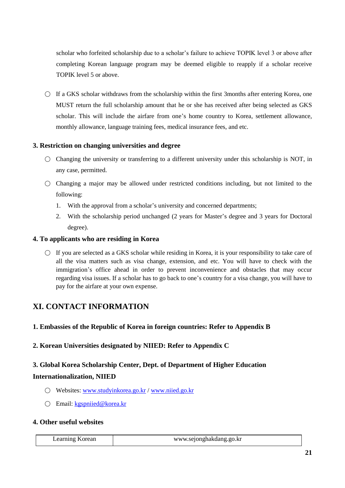scholar who forfeited scholarship due to a scholar"s failure to achieve TOPIK level 3 or above after completing Korean language program may be deemed eligible to reapply if a scholar receive TOPIK level 5 or above.

 $\bigcirc$  If a GKS scholar withdraws from the scholarship within the first 3months after entering Korea, one MUST return the full scholarship amount that he or she has received after being selected as GKS scholar. This will include the airfare from one"s home country to Korea, settlement allowance, monthly allowance, language training fees, medical insurance fees, and etc.

#### **3. Restriction on changing universities and degree**

- $\bigcirc$  Changing the university or transferring to a different university under this scholarship is NOT, in any case, permitted.
- $\bigcirc$  Changing a major may be allowed under restricted conditions including, but not limited to the following:
	- 1. With the approval from a scholar"s university and concerned departments;
	- 2. With the scholarship period unchanged (2 years for Master"s degree and 3 years for Doctoral degree).

#### **4. To applicants who are residing in Korea**

 $\circ$  If you are selected as a GKS scholar while residing in Korea, it is your responsibility to take care of all the visa matters such as visa change, extension, and etc. You will have to check with the immigration"s office ahead in order to prevent inconvenience and obstacles that may occur regarding visa issues. If a scholar has to go back to one"s country for a visa change, you will have to pay for the airfare at your own expense.

# <span id="page-26-0"></span>**XI. CONTACT INFORMATION**

#### **1. Embassies of the Republic of Korea in foreign countries: Refer to Appendix B**

#### **2. Korean Universities designated by NIIED: Refer to Appendix C**

# **3. Global Korea Scholarship Center, Dept. of Department of Higher Education Internationalization, NIIED**

- Websites: [www.studyinkorea.go.kr](http://www.studyinkorea.go.kr/) / [www.niied.go.kr](http://www.niied.go.kr/)
- Email: [kgspniied@korea.kr](mailto:kgspniied@korea.kr)

### **4. Other useful websites**

|  | Learning Korean | www.sejonghakdang.go.kr |
|--|-----------------|-------------------------|
|--|-----------------|-------------------------|